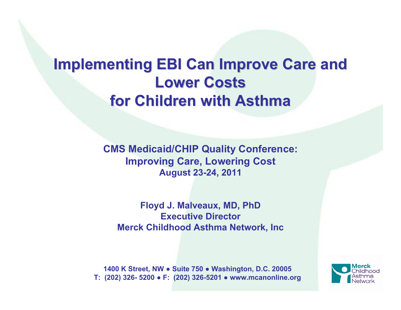# **Implementing EBI Can Improve Care and Lower Costs for Children with Asthma for Children with Asthma**

**CMS Medicaid/CHIP Quality Conference: Improving Care, Lowering Cost August 23-24, 2011**

**Floyd J. Malveaux, MD, PhD Executive DirectorMerck Childhood Asthma Network, Inc**

**1400 K Street, NW ● Suite 750 ● Washington, D.C. 20005 T: (202) 326- 5200 ● F: (202) 326-5201 ● www.mcanonline.org**

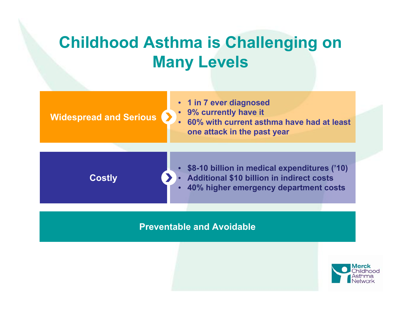# **Childhood Asthma is Challenging on Many Levels**

#### **Widespread and Serious**

- **1 in 7 ever diagnose d**
- **9% currently have it**
- **60% wit h current asthma have had at leastone attack in the past year**

**Costly**

- **\$8-10 billion in medical expenditures ('10)** • **Additional \$10 billion in indirect costs**
- **40% higher emergency department costs**

#### **Preventable and Avoidable**

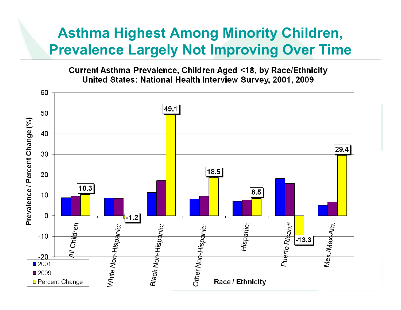### **Asthma Highest Among Minority Children, Prevalence Largely Not Improving Over Time**

Current Asthma Prevalence, Children Aged <18, by Race/Ethnicity United States: National Health Interview Survey, 2001, 2009

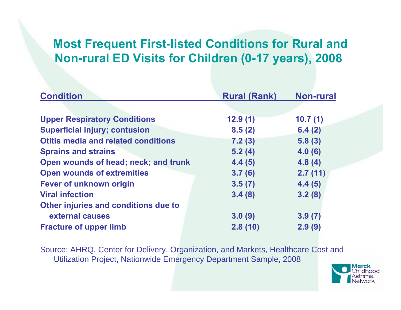### **Most Frequent First-listed Conditions for Rural and Non-rural ED Visits for Children (0-17 years), 2008**

| <b>Condition</b>                           | <b>Rural (Rank)</b> | <b>Non-rural</b> |
|--------------------------------------------|---------------------|------------------|
|                                            |                     |                  |
| <b>Upper Respiratory Conditions</b>        | 12.9(1)             | 10.7(1)          |
| <b>Superficial injury; contusion</b>       | 8.5(2)              | 6.4(2)           |
| <b>Otitis media and related conditions</b> | 7.2(3)              | 5.8(3)           |
| <b>Sprains and strains</b>                 | 5.2(4)              | 4.0(6)           |
| Open wounds of head; neck; and trunk       | 4.4(5)              | 4.8(4)           |
| <b>Open wounds of extremities</b>          | 3.7(6)              | 2.7(11)          |
| <b>Fever of unknown origin</b>             | 3.5(7)              | 4.4(5)           |
| <b>Viral infection</b>                     | 3.4(8)              | 3.2(8)           |
| Other injuries and conditions due to       |                     |                  |
| external causes                            | 3.0(9)              | 3.9(7)           |
| <b>Fracture of upper limb</b>              | 2.8(10)             | 2.9(9)           |

Source: AHRQ, Center for Delivery, Organization, and Markets, Healthcare Cost and Utilization Project, Nationwide Emergency Department Sample, 2008

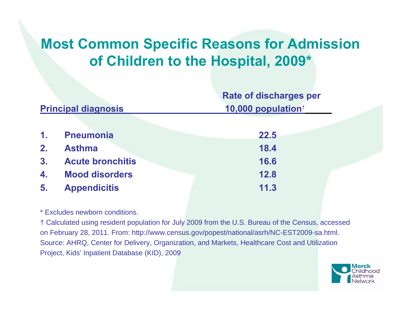### **Most Common Specific Reasons for Admission of Children to the Hospital, 2009\***

|                            |                         | <b>Rate of discharges per</b>  |
|----------------------------|-------------------------|--------------------------------|
| <b>Principal diagnosis</b> |                         | 10,000 population <sup>†</sup> |
|                            |                         |                                |
| 1 <sub>1</sub>             | <b>Pneumonia</b>        | 22.5                           |
| 2.                         | <b>Asthma</b>           | 18.4                           |
| 3.                         | <b>Acute bronchitis</b> | 16.6                           |
| 4.                         | <b>Mood disorders</b>   | 12.8                           |
| 5.                         | <b>Appendicitis</b>     | 11.3                           |

\* Excludes newborn conditions.

† Calculated using resident population for July 2009 from the U.S. Bureau of the Census, accessed on February 28, 2011. From: http://www.census.gov/popest/national/asrh/NC-EST2009-sa.html. Source: AHRQ, Center for Delivery, Organization, and Markets, Healthcare Cost and Utilization Project, Kids' Inpatient Database (KID), 2009

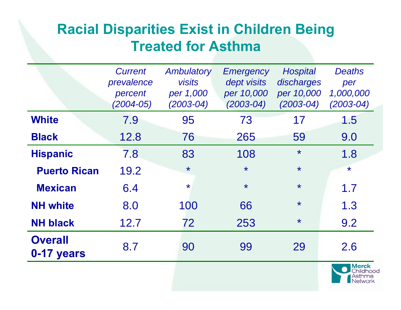## **Racial Disparities Exist in Children Being Treated for Asthma**

|                              | <b>Current</b><br>prevalence<br>percent<br>$(2004 - 05)$ | Ambulatory<br><b>visits</b><br>per 1,000<br>$(2003 - 04)$ | <b>Emergency</b><br>dept visits<br>per 10,000<br>$(2003 - 04)$ | <b>Hospital</b><br>discharges<br>per 10,000<br>$(2003 - 04)$ | <b>Deaths</b><br>per<br>1,000,000<br>$(2003 - 04)$ |
|------------------------------|----------------------------------------------------------|-----------------------------------------------------------|----------------------------------------------------------------|--------------------------------------------------------------|----------------------------------------------------|
| <b>White</b>                 | 7.9                                                      | 95                                                        | 73                                                             | 17                                                           | 1.5                                                |
| <b>Black</b>                 | 12.8                                                     | 76                                                        | 265                                                            | 59                                                           | 9.0                                                |
| <b>Hispanic</b>              | 7.8                                                      | 83                                                        | 108                                                            | $\star$                                                      | 1.8                                                |
| <b>Puerto Rican</b>          | 19.2                                                     | $\star$                                                   | $\star$                                                        | $\star$                                                      | $\star$                                            |
| <b>Mexican</b>               | 6.4                                                      | $\star$                                                   | $\star$                                                        | $\star$                                                      | 1.7                                                |
| <b>NH</b> white              | 8.0                                                      | 100                                                       | 66                                                             | $\star$                                                      | 1.3                                                |
| <b>NH black</b>              | 12.7                                                     | 72                                                        | 253                                                            | $\star$                                                      | 9.2                                                |
| <b>Overall</b><br>0-17 years | 8.7                                                      | 90                                                        | 99                                                             | 29                                                           | 2.6                                                |

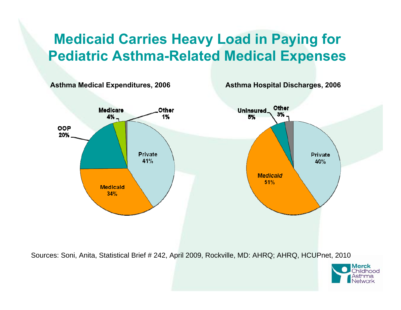## **Medicaid Carries Heavy Load in Paying for Pediatric Asthma-Related Medical Expenses**



Sources: Soni, Anita, Statistical Brief # 242, April 2009, Rockville, MD: AHRQ; AHRQ, HCUPnet, 2010

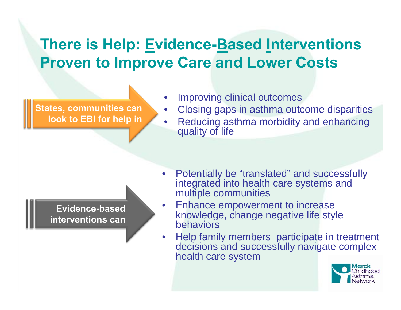# **There is Help: Evidence-Based Interventions Proven to Improve Care and Lower Costs**

**States, communities can look to EBI for help in** • Improving clinical outcomes

- Closing gaps in asthma outcome disparities
- Reducing asthma morbidity and enhancing quality of life



- Potentially be "translated" and successfully integrated into health care systems and multiple communities
- Enhance empowerment to increase knowledge, change negative life style behaviors
- Help family members participate in treatment decisions and successfully navigate complex health care system

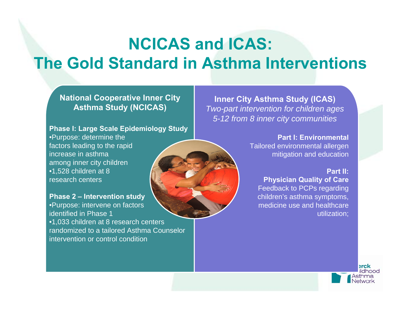# **NCICAS and ICAS: The Gold Standard in Asthma Interventions**

#### **National Cooperative Inner City Asthma Study (NCICAS)**

#### **Phase I: Large Scale Epidemiology Study**

•Purpose: determine the factors leading to the rapid increase in asthma among inner city children •1,528 children at 8 research centers

**Phase 2 – Intervention study** •Purpose: intervene on factors identified in Phase 1•1,033 children at 8 research centers randomized to a tailored Asthma Counselor intervention or control condition

**Inner City Asthma Study (ICAS)** *Two-part intervention for children ages 5-12 from 8 inner city communities*

> **Part I: Environmental**Tailored environmental allergen mitigation and education

#### **Part II:**

**Physician Quality of Care** Feedback to PCPs regarding children's asthma symptoms, medicine use and healthcare utilization;

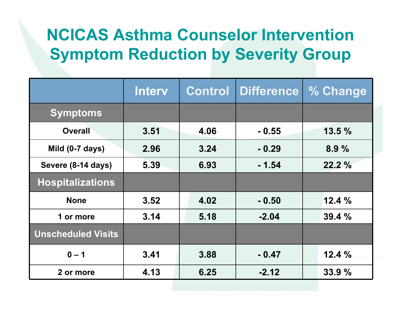# **NCICAS Asthma Counselor InterventionSymptom Reduction by Severity Group**

|                           | <b>Interv</b> | <b>Control</b> | Difference | % Change |
|---------------------------|---------------|----------------|------------|----------|
| <b>Symptoms</b>           |               |                |            |          |
| <b>Overall</b>            | 3.51          | 4.06           | $-0.55$    | 13.5%    |
| Mild (0-7 days)           | 2.96          | 3.24           | $-0.29$    | 8.9%     |
| Severe (8-14 days)        | 5.39          | 6.93           | $-1.54$    | 22.2%    |
| <b>Hospitalizations</b>   |               |                |            |          |
| <b>None</b>               | 3.52          | 4.02           | $-0.50$    | 12.4%    |
| 1 or more                 | 3.14          | 5.18           | $-2.04$    | 39.4%    |
| <b>Unscheduled Visits</b> |               |                |            |          |
| $0 - 1$                   | 3.41          | 3.88           | $-0.47$    | 12.4%    |
| 2 or more                 | 4.13          | 6.25           | $-2.12$    | 33.9%    |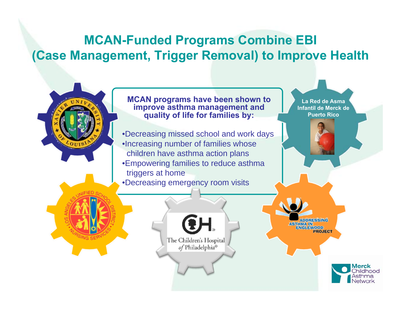### **MCAN-Funded Programs Combine EBI (Case Management, Trigger Removal) to Improve Health**

**MCAN programs have been shown to improve asthma management and quality of life for families by:**

•Decreasing missed school and work days •Increasing number of families whose children have asthma action plans •Empowering families to reduce asthma triggers at home

•Decreasing emergency room visits

The Children's Hospital of Philadelphia®

**La Red de Asma Infantil de Merck de Puerto Rico**

**IDDRESSING ASTHMA IN ENGLEWOOD PROJECT** 

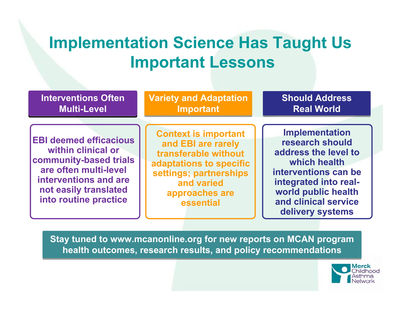# **Implementation Science Has Taught Us Important Lessons**

| <b>Interventions Often</b>                                                                                                                                                        | <b>Variety and Adaptation</b>                                                                                                                                               | <b>Should Address</b>                                                                                                                                                                                |
|-----------------------------------------------------------------------------------------------------------------------------------------------------------------------------------|-----------------------------------------------------------------------------------------------------------------------------------------------------------------------------|------------------------------------------------------------------------------------------------------------------------------------------------------------------------------------------------------|
| <b>Multi-Level</b>                                                                                                                                                                | <b>Important</b>                                                                                                                                                            | <b>Real World</b>                                                                                                                                                                                    |
| <b>EBI deemed efficacious</b><br>within clinical or<br>community-based trials<br>are often multi-level<br>interventions and are<br>not easily translated<br>into routine practice | <b>Context is important</b><br>and EBI are rarely<br>transferable without<br>adaptations to specific<br>settings; partnerships<br>and varied<br>approaches are<br>essential | <b>Implementation</b><br>research should<br>address the level to<br>which health<br>interventions can be<br>integrated into real-<br>world public health<br>and clinical service<br>delivery systems |

**Stay tuned to www.mcanonline.org for new reports on MCAN program Stay tuned to www.mcanonline.org for new reports on MCAN program health outcomes, research results, and policy recommendations health outcomes, research results, and policy recommendations**

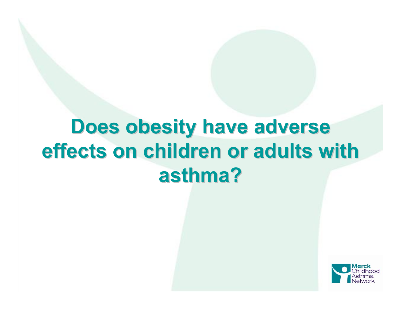# **Does obesity have adverse effects on children or adults with effects on children or adults with asthma? asthma?**

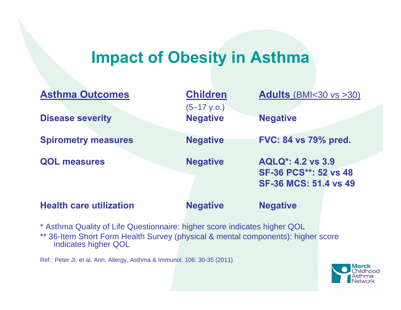## **Impact of Obesity in Asthma**

| <b>Asthma Outcomes</b>         | <b>Children</b><br>$(5-17 \text{ y.o.})$ | <b>Adults</b> (BMI<30 vs >30)                                                            |
|--------------------------------|------------------------------------------|------------------------------------------------------------------------------------------|
| <b>Disease severity</b>        | <b>Negative</b>                          | <b>Negative</b>                                                                          |
| <b>Spirometry measures</b>     | <b>Negative</b>                          | <b>FVC: 84 vs 79% pred.</b>                                                              |
| <b>QOL measures</b>            | <b>Negative</b>                          | <b>AQLQ*: 4.2 vs 3.9</b><br><b>SF-36 PCS**: 52 vs 48</b><br><b>SF-36 MCS: 51.4 vs 49</b> |
| <b>Health care utilization</b> | <b>Negative</b>                          | <b>Negative</b>                                                                          |

\* Asthma Quality of Life Questionnaire: higher score indicates higher QOL \*\* 36-Item Short Form Health Survey (physical & mental components): higher score indicates higher QOL

Ref.: Peter JI, et al. Ann. Allergy, Asthma & Immunol. 106: 30-35 (2011)

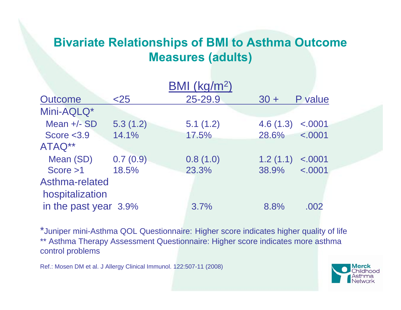### **Bivariate Relationships of BMI to Asthma Outcome Measures (adults)**

|                       |          | BMI (kg/m <sup>2</sup> ) |          |         |
|-----------------------|----------|--------------------------|----------|---------|
| <b>Outcome</b>        | $<$ 25   | 25-29.9                  | $30 +$   | P value |
| Mini-AQLQ*            |          |                          |          |         |
| Mean $+/-$ SD         | 5.3(1.2) | 5.1(1.2)                 | 4.6(1.3) | < .0001 |
| Score $<$ 3.9         | 14.1%    | 17.5%                    | 28.6%    | < .0001 |
| ATAQ**                |          |                          |          |         |
| Mean (SD)             | 0.7(0.9) | 0.8(1.0)                 | 1.2(1.1) | < .0001 |
| Score > 1             | 18.5%    | 23.3%                    | 38.9%    | < .0001 |
| Asthma-related        |          |                          |          |         |
| hospitalization       |          |                          |          |         |
| in the past year 3.9% |          | 3.7%                     | 8.8%     | .002    |
|                       |          |                          |          |         |

\*Juniper mini-Asthma QOL Questionnaire: Higher score indicates higher quality of life \*\* Asthma Therapy Assessment Questionnaire: Higher score indicates more asthma control problems

Ref.: Mosen DM et al. J Allergy Clinical Immunol. 122:507-11 (2008)